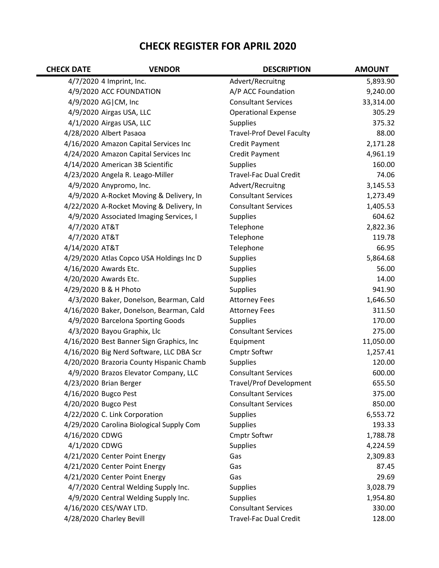## **CHECK REGISTER FOR APRIL 2020**

| <b>CHECK DATE</b> | <b>VENDOR</b>                            | <b>DESCRIPTION</b>               | <b>AMOUNT</b> |
|-------------------|------------------------------------------|----------------------------------|---------------|
|                   | 4/7/2020 4 Imprint, Inc.                 | Advert/Recruitng                 | 5,893.90      |
|                   | 4/9/2020 ACC FOUNDATION                  | A/P ACC Foundation               | 9,240.00      |
|                   | 4/9/2020 AG CM, Inc                      | <b>Consultant Services</b>       | 33,314.00     |
|                   | 4/9/2020 Airgas USA, LLC                 | <b>Operational Expense</b>       | 305.29        |
|                   | 4/1/2020 Airgas USA, LLC                 | <b>Supplies</b>                  | 375.32        |
|                   | 4/28/2020 Albert Pasaoa                  | <b>Travel-Prof Devel Faculty</b> | 88.00         |
|                   | 4/16/2020 Amazon Capital Services Inc    | Credit Payment                   | 2,171.28      |
|                   | 4/24/2020 Amazon Capital Services Inc    | Credit Payment                   | 4,961.19      |
|                   | 4/14/2020 American 3B Scientific         | <b>Supplies</b>                  | 160.00        |
|                   | 4/23/2020 Angela R. Leago-Miller         | <b>Travel-Fac Dual Credit</b>    | 74.06         |
|                   | 4/9/2020 Anypromo, Inc.                  | Advert/Recruitng                 | 3,145.53      |
|                   | 4/9/2020 A-Rocket Moving & Delivery, In  | <b>Consultant Services</b>       | 1,273.49      |
|                   | 4/22/2020 A-Rocket Moving & Delivery, In | <b>Consultant Services</b>       | 1,405.53      |
|                   | 4/9/2020 Associated Imaging Services, I  | <b>Supplies</b>                  | 604.62        |
| 4/7/2020 AT&T     |                                          | Telephone                        | 2,822.36      |
| 4/7/2020 AT&T     |                                          | Telephone                        | 119.78        |
| 4/14/2020 AT&T    |                                          | Telephone                        | 66.95         |
|                   | 4/29/2020 Atlas Copco USA Holdings Inc D | <b>Supplies</b>                  | 5,864.68      |
|                   | 4/16/2020 Awards Etc.                    | <b>Supplies</b>                  | 56.00         |
|                   | 4/20/2020 Awards Etc.                    | <b>Supplies</b>                  | 14.00         |
|                   | 4/29/2020 B & H Photo                    | <b>Supplies</b>                  | 941.90        |
|                   | 4/3/2020 Baker, Donelson, Bearman, Cald  | <b>Attorney Fees</b>             | 1,646.50      |
|                   | 4/16/2020 Baker, Donelson, Bearman, Cald | <b>Attorney Fees</b>             | 311.50        |
|                   | 4/9/2020 Barcelona Sporting Goods        | <b>Supplies</b>                  | 170.00        |
|                   | 4/3/2020 Bayou Graphix, Llc              | <b>Consultant Services</b>       | 275.00        |
|                   | 4/16/2020 Best Banner Sign Graphics, Inc | Equipment                        | 11,050.00     |
|                   | 4/16/2020 Big Nerd Software, LLC DBA Scr | Cmptr Softwr                     | 1,257.41      |
|                   | 4/20/2020 Brazoria County Hispanic Chamb | <b>Supplies</b>                  | 120.00        |
|                   | 4/9/2020 Brazos Elevator Company, LLC    | <b>Consultant Services</b>       | 600.00        |
|                   | 4/23/2020 Brian Berger                   | <b>Travel/Prof Development</b>   | 655.50        |
|                   | 4/16/2020 Bugco Pest                     | <b>Consultant Services</b>       | 375.00        |
|                   | 4/20/2020 Bugco Pest                     | <b>Consultant Services</b>       | 850.00        |
|                   | 4/22/2020 C. Link Corporation            | <b>Supplies</b>                  | 6,553.72      |
|                   | 4/29/2020 Carolina Biological Supply Com | <b>Supplies</b>                  | 193.33        |
| 4/16/2020 CDWG    |                                          | Cmptr Softwr                     | 1,788.78      |
| 4/1/2020 CDWG     |                                          | <b>Supplies</b>                  | 4,224.59      |
|                   | 4/21/2020 Center Point Energy            | Gas                              | 2,309.83      |
|                   | 4/21/2020 Center Point Energy            | Gas                              | 87.45         |
|                   | 4/21/2020 Center Point Energy            | Gas                              | 29.69         |
|                   | 4/7/2020 Central Welding Supply Inc.     | <b>Supplies</b>                  | 3,028.79      |
|                   | 4/9/2020 Central Welding Supply Inc.     | <b>Supplies</b>                  | 1,954.80      |
|                   | 4/16/2020 CES/WAY LTD.                   | <b>Consultant Services</b>       | 330.00        |
|                   | 4/28/2020 Charley Bevill                 | Travel-Fac Dual Credit           | 128.00        |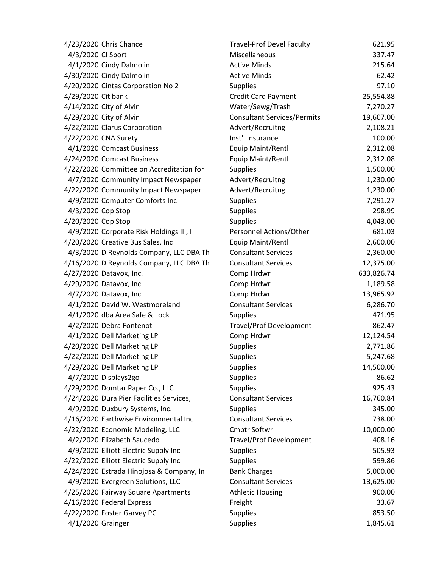| 4/23/2020 Chris Chance                   | <b>Travel-Prof Devel Faculty</b>   | 621.95     |
|------------------------------------------|------------------------------------|------------|
| 4/3/2020 CI Sport                        | Miscellaneous                      | 337.47     |
| 4/1/2020 Cindy Dalmolin                  | <b>Active Minds</b>                | 215.64     |
| 4/30/2020 Cindy Dalmolin                 | <b>Active Minds</b>                | 62.42      |
| 4/20/2020 Cintas Corporation No 2        | <b>Supplies</b>                    | 97.10      |
| 4/29/2020 Citibank                       | <b>Credit Card Payment</b>         | 25,554.88  |
| 4/14/2020 City of Alvin                  | Water/Sewg/Trash                   | 7,270.27   |
| 4/29/2020 City of Alvin                  | <b>Consultant Services/Permits</b> | 19,607.00  |
| 4/22/2020 Clarus Corporation             | Advert/Recruitng                   | 2,108.21   |
| 4/22/2020 CNA Surety                     | Inst'l Insurance                   | 100.00     |
| 4/1/2020 Comcast Business                | Equip Maint/Rentl                  | 2,312.08   |
| 4/24/2020 Comcast Business               | Equip Maint/Rentl                  | 2,312.08   |
| 4/22/2020 Committee on Accreditation for | <b>Supplies</b>                    | 1,500.00   |
| 4/7/2020 Community Impact Newspaper      | Advert/Recruitng                   | 1,230.00   |
| 4/22/2020 Community Impact Newspaper     | Advert/Recruitng                   | 1,230.00   |
| 4/9/2020 Computer Comforts Inc           | Supplies                           | 7,291.27   |
| 4/3/2020 Cop Stop                        | Supplies                           | 298.99     |
| 4/20/2020 Cop Stop                       | <b>Supplies</b>                    | 4,043.00   |
| 4/9/2020 Corporate Risk Holdings III, I  | Personnel Actions/Other            | 681.03     |
| 4/20/2020 Creative Bus Sales, Inc        | Equip Maint/Rentl                  | 2,600.00   |
| 4/3/2020 D Reynolds Company, LLC DBA Th  | <b>Consultant Services</b>         | 2,360.00   |
| 4/16/2020 D Reynolds Company, LLC DBA Th | <b>Consultant Services</b>         | 12,375.00  |
| 4/27/2020 Datavox, Inc.                  | Comp Hrdwr                         | 633,826.74 |
| 4/29/2020 Datavox, Inc.                  | Comp Hrdwr                         | 1,189.58   |
| 4/7/2020 Datavox, Inc.                   | Comp Hrdwr                         | 13,965.92  |
| 4/1/2020 David W. Westmoreland           | <b>Consultant Services</b>         | 6,286.70   |
| 4/1/2020 dba Area Safe & Lock            | <b>Supplies</b>                    | 471.95     |
| 4/2/2020 Debra Fontenot                  | <b>Travel/Prof Development</b>     | 862.47     |
| 4/1/2020 Dell Marketing LP               | Comp Hrdwr                         | 12,124.54  |
| 4/20/2020 Dell Marketing LP              | Supplies                           | 2,771.86   |
| 4/22/2020 Dell Marketing LP              | Supplies                           | 5,247.68   |
| 4/29/2020 Dell Marketing LP              | <b>Supplies</b>                    | 14,500.00  |
| 4/7/2020 Displays2go                     | Supplies                           | 86.62      |
| 4/29/2020 Domtar Paper Co., LLC          | <b>Supplies</b>                    | 925.43     |
| 4/24/2020 Dura Pier Facilities Services, | <b>Consultant Services</b>         | 16,760.84  |
| 4/9/2020 Duxbury Systems, Inc.           | <b>Supplies</b>                    | 345.00     |
| 4/16/2020 Earthwise Environmental Inc    | <b>Consultant Services</b>         | 738.00     |
| 4/22/2020 Economic Modeling, LLC         | Cmptr Softwr                       | 10,000.00  |
| 4/2/2020 Elizabeth Saucedo               | <b>Travel/Prof Development</b>     | 408.16     |
| 4/9/2020 Elliott Electric Supply Inc     | <b>Supplies</b>                    | 505.93     |
| 4/22/2020 Elliott Electric Supply Inc    | <b>Supplies</b>                    | 599.86     |
| 4/24/2020 Estrada Hinojosa & Company, In | <b>Bank Charges</b>                | 5,000.00   |
| 4/9/2020 Evergreen Solutions, LLC        | <b>Consultant Services</b>         | 13,625.00  |
| 4/25/2020 Fairway Square Apartments      | <b>Athletic Housing</b>            | 900.00     |
| 4/16/2020 Federal Express                | Freight                            | 33.67      |
| 4/22/2020 Foster Garvey PC               | <b>Supplies</b>                    | 853.50     |
| 4/1/2020 Grainger                        | Supplies                           | 1,845.61   |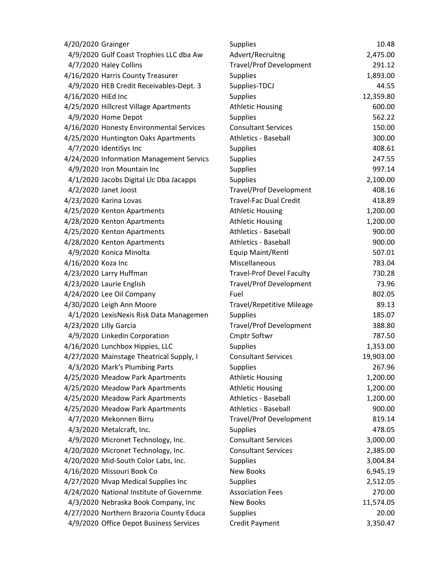| 4/20/2020 Grainger                       | <b>Supplies</b>                  | 10.48     |
|------------------------------------------|----------------------------------|-----------|
| 4/9/2020 Gulf Coast Trophies LLC dba Aw  | Advert/Recruitng                 | 2,475.00  |
| 4/7/2020 Haley Collins                   | <b>Travel/Prof Development</b>   | 291.12    |
| 4/16/2020 Harris County Treasurer        | <b>Supplies</b>                  | 1,893.00  |
| 4/9/2020 HEB Credit Receivables-Dept. 3  | Supplies-TDCJ                    | 44.55     |
| 4/16/2020 HiEd Inc                       | <b>Supplies</b>                  | 12,359.80 |
| 4/25/2020 Hillcrest Village Apartments   | <b>Athletic Housing</b>          | 600.00    |
| 4/9/2020 Home Depot                      | <b>Supplies</b>                  | 562.22    |
| 4/16/2020 Honesty Environmental Services | <b>Consultant Services</b>       | 150.00    |
| 4/25/2020 Huntington Oaks Apartments     | <b>Athletics - Baseball</b>      | 300.00    |
| 4/7/2020 IdentiSys Inc                   | <b>Supplies</b>                  | 408.61    |
| 4/24/2020 Information Management Servics | <b>Supplies</b>                  | 247.55    |
| 4/9/2020 Iron Mountain Inc               | <b>Supplies</b>                  | 997.14    |
| 4/1/2020 Jacobs Digital Llc Dba Jacapps  | <b>Supplies</b>                  | 2,100.00  |
| 4/2/2020 Janet Joost                     | <b>Travel/Prof Development</b>   | 408.16    |
| 4/23/2020 Karina Lovas                   | <b>Travel-Fac Dual Credit</b>    | 418.89    |
| 4/25/2020 Kenton Apartments              | <b>Athletic Housing</b>          | 1,200.00  |
| 4/28/2020 Kenton Apartments              | <b>Athletic Housing</b>          | 1,200.00  |
| 4/25/2020 Kenton Apartments              | <b>Athletics - Baseball</b>      | 900.00    |
| 4/28/2020 Kenton Apartments              | <b>Athletics - Baseball</b>      | 900.00    |
| 4/9/2020 Konica Minolta                  | Equip Maint/Rentl                | 507.01    |
| 4/16/2020 Koza Inc                       | Miscellaneous                    | 783.04    |
| 4/23/2020 Larry Huffman                  | <b>Travel-Prof Devel Faculty</b> | 730.28    |
| 4/23/2020 Laurie English                 | <b>Travel/Prof Development</b>   | 73.96     |
| 4/24/2020 Lee Oil Company                | Fuel                             | 802.05    |
| 4/30/2020 Leigh Ann Moore                | <b>Travel/Repetitive Mileage</b> | 89.13     |
| 4/1/2020 LexisNexis Risk Data Managemen  | <b>Supplies</b>                  | 185.07    |
| 4/23/2020 Lilly Garcia                   | <b>Travel/Prof Development</b>   | 388.80    |
| 4/9/2020 Linkedin Corporation            | <b>Cmptr Softwr</b>              | 787.50    |
| 4/16/2020 Lunchbox Hippies, LLC          | <b>Supplies</b>                  | 1,353.00  |
| 4/27/2020 Mainstage Theatrical Supply, I | <b>Consultant Services</b>       | 19,903.00 |
| 4/3/2020 Mark's Plumbing Parts           | <b>Supplies</b>                  | 267.96    |
| 4/25/2020 Meadow Park Apartments         | <b>Athletic Housing</b>          | 1,200.00  |
| 4/25/2020 Meadow Park Apartments         | <b>Athletic Housing</b>          | 1,200.00  |
| 4/25/2020 Meadow Park Apartments         | <b>Athletics - Baseball</b>      | 1,200.00  |
| 4/25/2020 Meadow Park Apartments         | Athletics - Baseball             | 900.00    |
| 4/7/2020 Mekonnen Birru                  | <b>Travel/Prof Development</b>   | 819.14    |
| 4/3/2020 Metalcraft, Inc.                | <b>Supplies</b>                  | 478.05    |
| 4/9/2020 Micronet Technology, Inc.       | <b>Consultant Services</b>       | 3,000.00  |
| 4/20/2020 Micronet Technology, Inc.      | <b>Consultant Services</b>       | 2,385.00  |
| 4/20/2020 Mid-South Color Labs, Inc.     | <b>Supplies</b>                  | 3,004.84  |
| 4/16/2020 Missouri Book Co               | <b>New Books</b>                 | 6,945.19  |
| 4/27/2020 Mvap Medical Supplies Inc      | <b>Supplies</b>                  | 2,512.05  |
| 4/24/2020 National Institute of Governme | <b>Association Fees</b>          | 270.00    |
| 4/3/2020 Nebraska Book Company, Inc      | <b>New Books</b>                 | 11,574.05 |
| 4/27/2020 Northern Brazoria County Educa | <b>Supplies</b>                  | 20.00     |
| 4/9/2020 Office Depot Business Services  | <b>Credit Payment</b>            | 3,350.47  |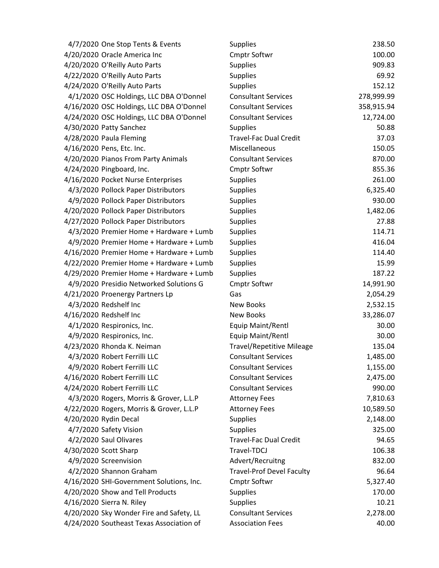| 4/7/2020 One Stop Tents & Events         | <b>Supplies</b>                  | 238.50     |
|------------------------------------------|----------------------------------|------------|
| 4/20/2020 Oracle America Inc             | <b>Cmptr Softwr</b>              | 100.00     |
| 4/20/2020 O'Reilly Auto Parts            | <b>Supplies</b>                  | 909.83     |
| 4/22/2020 O'Reilly Auto Parts            | <b>Supplies</b>                  | 69.92      |
| 4/24/2020 O'Reilly Auto Parts            | Supplies                         | 152.12     |
| 4/1/2020 OSC Holdings, LLC DBA O'Donnel  | <b>Consultant Services</b>       | 278,999.99 |
| 4/16/2020 OSC Holdings, LLC DBA O'Donnel | <b>Consultant Services</b>       | 358,915.94 |
| 4/24/2020 OSC Holdings, LLC DBA O'Donnel | <b>Consultant Services</b>       | 12,724.00  |
| 4/30/2020 Patty Sanchez                  | Supplies                         | 50.88      |
| 4/28/2020 Paula Fleming                  | <b>Travel-Fac Dual Credit</b>    | 37.03      |
| 4/16/2020 Pens, Etc. Inc.                | Miscellaneous                    | 150.05     |
| 4/20/2020 Pianos From Party Animals      | <b>Consultant Services</b>       | 870.00     |
| 4/24/2020 Pingboard, Inc.                | <b>Cmptr Softwr</b>              | 855.36     |
| 4/16/2020 Pocket Nurse Enterprises       | <b>Supplies</b>                  | 261.00     |
| 4/3/2020 Pollock Paper Distributors      | <b>Supplies</b>                  | 6,325.40   |
| 4/9/2020 Pollock Paper Distributors      | <b>Supplies</b>                  | 930.00     |
| 4/20/2020 Pollock Paper Distributors     | Supplies                         | 1,482.06   |
| 4/27/2020 Pollock Paper Distributors     | Supplies                         | 27.88      |
| 4/3/2020 Premier Home + Hardware + Lumb  | <b>Supplies</b>                  | 114.71     |
| 4/9/2020 Premier Home + Hardware + Lumb  | Supplies                         | 416.04     |
| 4/16/2020 Premier Home + Hardware + Lumb | <b>Supplies</b>                  | 114.40     |
| 4/22/2020 Premier Home + Hardware + Lumb | <b>Supplies</b>                  | 15.99      |
| 4/29/2020 Premier Home + Hardware + Lumb | <b>Supplies</b>                  | 187.22     |
| 4/9/2020 Presidio Networked Solutions G  | <b>Cmptr Softwr</b>              | 14,991.90  |
| 4/21/2020 Proenergy Partners Lp          | Gas                              | 2,054.29   |
| 4/3/2020 Redshelf Inc                    | <b>New Books</b>                 | 2,532.15   |
| 4/16/2020 Redshelf Inc                   | <b>New Books</b>                 | 33,286.07  |
| 4/1/2020 Respironics, Inc.               | Equip Maint/Rentl                | 30.00      |
| 4/9/2020 Respironics, Inc.               | Equip Maint/Rentl                | 30.00      |
| 4/23/2020 Rhonda K. Neiman               | <b>Travel/Repetitive Mileage</b> | 135.04     |
| 4/3/2020 Robert Ferrilli LLC             | <b>Consultant Services</b>       | 1,485.00   |
| 4/9/2020 Robert Ferrilli LLC             | <b>Consultant Services</b>       | 1,155.00   |
| 4/16/2020 Robert Ferrilli LLC            | <b>Consultant Services</b>       | 2,475.00   |
| 4/24/2020 Robert Ferrilli LLC            | <b>Consultant Services</b>       | 990.00     |
| 4/3/2020 Rogers, Morris & Grover, L.L.P  | <b>Attorney Fees</b>             | 7,810.63   |
| 4/22/2020 Rogers, Morris & Grover, L.L.P | <b>Attorney Fees</b>             | 10,589.50  |
| 4/20/2020 Rydin Decal                    | <b>Supplies</b>                  | 2,148.00   |
| 4/7/2020 Safety Vision                   | <b>Supplies</b>                  | 325.00     |
| 4/2/2020 Saul Olivares                   | <b>Travel-Fac Dual Credit</b>    | 94.65      |
| 4/30/2020 Scott Sharp                    | Travel-TDCJ                      | 106.38     |
| 4/9/2020 Screenvision                    | Advert/Recruitng                 | 832.00     |
| 4/2/2020 Shannon Graham                  | <b>Travel-Prof Devel Faculty</b> | 96.64      |
| 4/16/2020 SHI-Government Solutions, Inc. | <b>Cmptr Softwr</b>              | 5,327.40   |
| 4/20/2020 Show and Tell Products         | Supplies                         | 170.00     |
| 4/16/2020 Sierra N. Riley                | <b>Supplies</b>                  | 10.21      |
| 4/20/2020 Sky Wonder Fire and Safety, LL | <b>Consultant Services</b>       | 2,278.00   |
| 4/24/2020 Southeast Texas Association of | <b>Association Fees</b>          | 40.00      |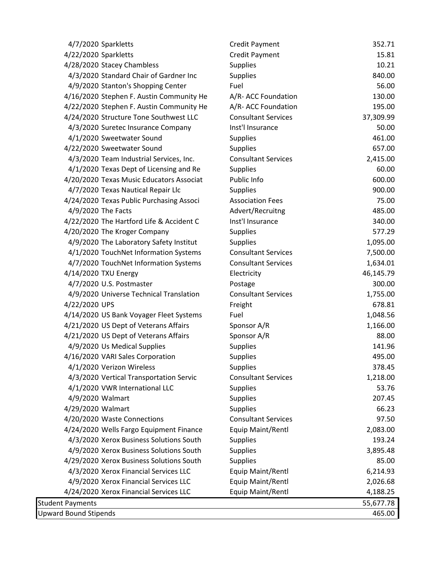| 4/7/2020 Sparkletts                      | <b>Credit Payment</b>      | 352.71    |
|------------------------------------------|----------------------------|-----------|
| 4/22/2020 Sparkletts                     | Credit Payment             | 15.81     |
| 4/28/2020 Stacey Chambless               | <b>Supplies</b>            | 10.21     |
| 4/3/2020 Standard Chair of Gardner Inc   | <b>Supplies</b>            | 840.00    |
| 4/9/2020 Stanton's Shopping Center       | Fuel                       | 56.00     |
| 4/16/2020 Stephen F. Austin Community He | A/R- ACC Foundation        | 130.00    |
| 4/22/2020 Stephen F. Austin Community He | A/R- ACC Foundation        | 195.00    |
| 4/24/2020 Structure Tone Southwest LLC   | <b>Consultant Services</b> | 37,309.99 |
| 4/3/2020 Suretec Insurance Company       | Inst'l Insurance           | 50.00     |
| 4/1/2020 Sweetwater Sound                | <b>Supplies</b>            | 461.00    |
| 4/22/2020 Sweetwater Sound               | <b>Supplies</b>            | 657.00    |
| 4/3/2020 Team Industrial Services, Inc.  | <b>Consultant Services</b> | 2,415.00  |
| 4/1/2020 Texas Dept of Licensing and Re  | <b>Supplies</b>            | 60.00     |
| 4/20/2020 Texas Music Educators Associat | Public Info                | 600.00    |
| 4/7/2020 Texas Nautical Repair Llc       | <b>Supplies</b>            | 900.00    |
| 4/24/2020 Texas Public Purchasing Associ | <b>Association Fees</b>    | 75.00     |
| 4/9/2020 The Facts                       | Advert/Recruitng           | 485.00    |
| 4/22/2020 The Hartford Life & Accident C | Inst'l Insurance           | 340.00    |
| 4/20/2020 The Kroger Company             | <b>Supplies</b>            | 577.29    |
| 4/9/2020 The Laboratory Safety Institut  | <b>Supplies</b>            | 1,095.00  |
| 4/1/2020 TouchNet Information Systems    | <b>Consultant Services</b> | 7,500.00  |
| 4/7/2020 TouchNet Information Systems    | <b>Consultant Services</b> | 1,634.01  |
| 4/14/2020 TXU Energy                     | Electricity                | 46,145.79 |
| 4/7/2020 U.S. Postmaster                 | Postage                    | 300.00    |
| 4/9/2020 Universe Technical Translation  | <b>Consultant Services</b> | 1,755.00  |
| 4/22/2020 UPS                            | Freight                    | 678.81    |
| 4/14/2020 US Bank Voyager Fleet Systems  | Fuel                       | 1,048.56  |
| 4/21/2020 US Dept of Veterans Affairs    | Sponsor A/R                | 1,166.00  |
| 4/21/2020 US Dept of Veterans Affairs    | Sponsor A/R                | 88.00     |
| 4/9/2020 Us Medical Supplies             | <b>Supplies</b>            | 141.96    |
| 4/16/2020 VARI Sales Corporation         | <b>Supplies</b>            | 495.00    |
| 4/1/2020 Verizon Wireless                | <b>Supplies</b>            | 378.45    |
| 4/3/2020 Vertical Transportation Servic  | <b>Consultant Services</b> | 1,218.00  |
| 4/1/2020 VWR International LLC           | <b>Supplies</b>            | 53.76     |
| 4/9/2020 Walmart                         | <b>Supplies</b>            | 207.45    |
| 4/29/2020 Walmart                        | <b>Supplies</b>            | 66.23     |
| 4/20/2020 Waste Connections              | <b>Consultant Services</b> | 97.50     |
| 4/24/2020 Wells Fargo Equipment Finance  | Equip Maint/Rentl          | 2,083.00  |
| 4/3/2020 Xerox Business Solutions South  | <b>Supplies</b>            | 193.24    |
| 4/9/2020 Xerox Business Solutions South  | <b>Supplies</b>            | 3,895.48  |
| 4/29/2020 Xerox Business Solutions South | <b>Supplies</b>            | 85.00     |
| 4/3/2020 Xerox Financial Services LLC    | Equip Maint/Rentl          | 6,214.93  |
| 4/9/2020 Xerox Financial Services LLC    | Equip Maint/Rentl          | 2,026.68  |
| 4/24/2020 Xerox Financial Services LLC   | Equip Maint/Rentl          | 4,188.25  |
| <b>Student Payments</b>                  |                            | 55,677.78 |
| <b>Upward Bound Stipends</b>             |                            | 465.00    |